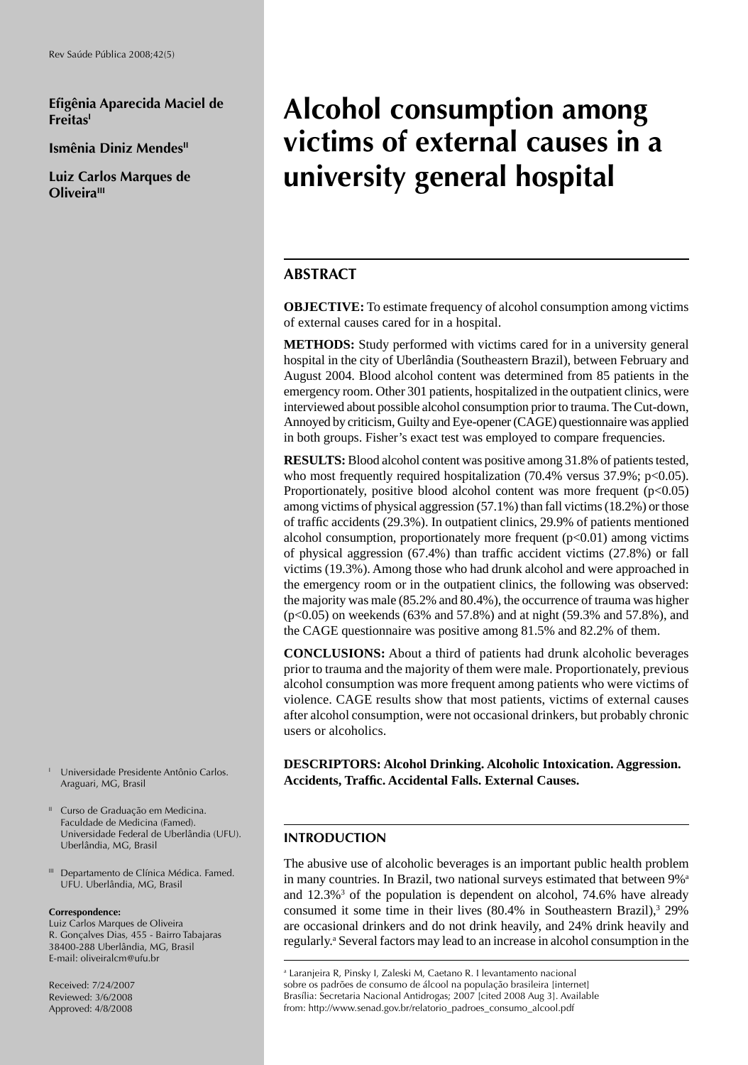**Efi gênia Aparecida Maciel de FreitasI**

**Ismênia Diniz Mendes<sup>II</sup>** 

**Luiz Carlos Marques de Oliveira**<sup>III</sup>

# **Alcohol consumption among victims of external causes in a university general hospital**

## **ABSTRACT**

**OBJECTIVE:** To estimate frequency of alcohol consumption among victims of external causes cared for in a hospital.

**METHODS:** Study performed with victims cared for in a university general hospital in the city of Uberlândia (Southeastern Brazil), between February and August 2004. Blood alcohol content was determined from 85 patients in the emergency room. Other 301 patients, hospitalized in the outpatient clinics, were interviewed about possible alcohol consumption prior to trauma. The Cut-down, Annoyed by criticism, Guilty and Eye-opener (CAGE) questionnaire was applied in both groups. Fisher's exact test was employed to compare frequencies.

**RESULTS:** Blood alcohol content was positive among 31.8% of patients tested, who most frequently required hospitalization  $(70.4\%$  versus  $37.9\%$ ; p<0.05). Proportionately, positive blood alcohol content was more frequent  $(p<0.05)$ among victims of physical aggression (57.1%) than fall victims (18.2%) or those of traffic accidents (29.3%). In outpatient clinics, 29.9% of patients mentioned alcohol consumption, proportionately more frequent  $(p<0.01)$  among victims of physical aggression  $(67.4%)$  than traffic accident victims  $(27.8%)$  or fall victims (19.3%). Among those who had drunk alcohol and were approached in the emergency room or in the outpatient clinics, the following was observed: the majority was male (85.2% and 80.4%), the occurrence of trauma was higher (p<0.05) on weekends (63% and 57.8%) and at night (59.3% and 57.8%), and the CAGE questionnaire was positive among 81.5% and 82.2% of them.

**CONCLUSIONS:** About a third of patients had drunk alcoholic beverages prior to trauma and the majority of them were male. Proportionately, previous alcohol consumption was more frequent among patients who were victims of violence. CAGE results show that most patients, victims of external causes after alcohol consumption, were not occasional drinkers, but probably chronic users or alcoholics.

**DESCRIPTORS: Alcohol Drinking. Alcoholic Intoxication. Aggression. Accidents, Traffi c. Accidental Falls. External Causes.**

## **INTRODUCTION**

The abusive use of alcoholic beverages is an important public health problem in many countries. In Brazil, two national surveys estimated that between 9%<sup>a</sup> and 12.3%<sup>3</sup> of the population is dependent on alcohol, 74.6% have already consumed it some time in their lives  $(80.4\%$  in Southeastern Brazil),<sup>3</sup> 29% are occasional drinkers and do not drink heavily, and 24% drink heavily and regularly.<sup>a</sup> Several factors may lead to an increase in alcohol consumption in the

- I Universidade Presidente Antônio Carlos. Araguari, MG, Brasil
- <sup>II</sup> Curso de Graduação em Medicina. Faculdade de Medicina (Famed). Universidade Federal de Uberlândia (UFU). Uberlândia, MG, Brasil
- III Departamento de Clínica Médica. Famed. UFU. Uberlândia, MG, Brasil

#### **Correspondence:**

Luiz Carlos Marques de Oliveira R. Gonçalves Dias, 455 - Bairro Tabajaras 38400-288 Uberlândia, MG, Brasil E-mail: oliveiralcm@ufu.br

Received: 7/24/2007 Reviewed: 3/6/2008 Approved: 4/8/2008

a Laranjeira R, Pinsky I, Zaleski M, Caetano R. I levantamento nacional sobre os padrões de consumo de álcool na população brasileira [internet] Brasília: Secretaria Nacional Antidrogas; 2007 [cited 2008 Aug 3]. Available from: http://www.senad.gov.br/relatorio\_padroes\_consumo\_alcool.pdf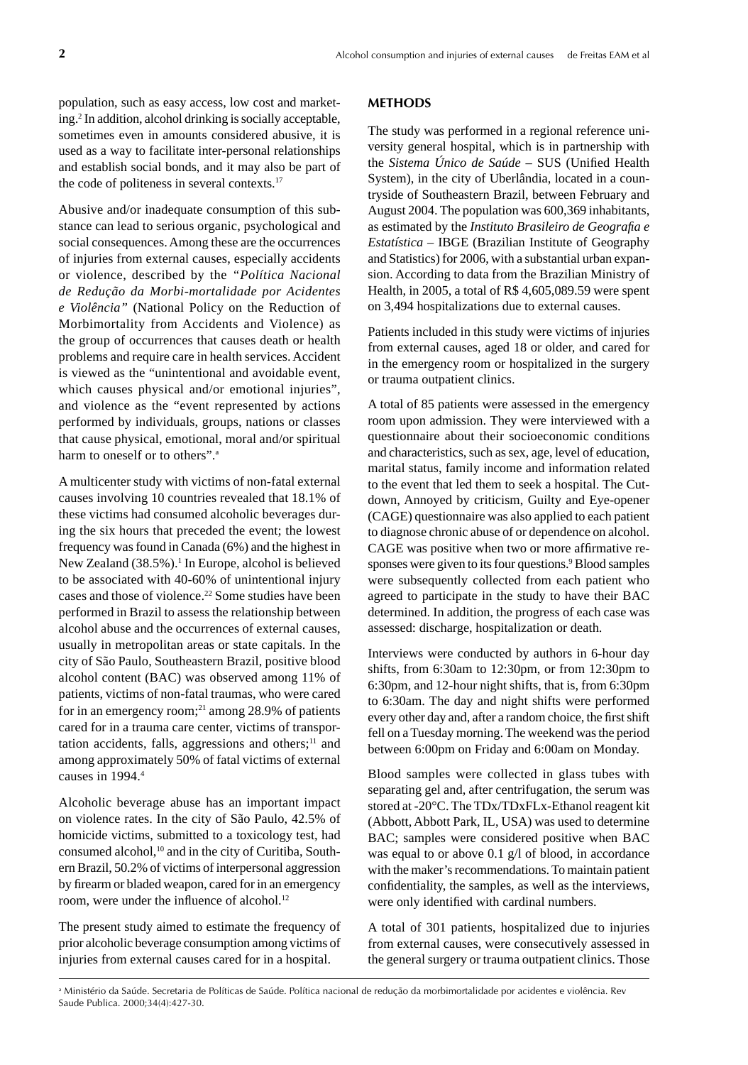population, such as easy access, low cost and marketing.2 In addition, alcohol drinking is socially acceptable, sometimes even in amounts considered abusive, it is used as a way to facilitate inter-personal relationships and establish social bonds, and it may also be part of the code of politeness in several contexts.17

Abusive and/or inadequate consumption of this substance can lead to serious organic, psychological and social consequences. Among these are the occurrences of injuries from external causes, especially accidents or violence, described by the *"Política Nacional de Redução da Morbi-mortalidade por Acidentes e Violência"* (National Policy on the Reduction of Morbimortality from Accidents and Violence) as the group of occurrences that causes death or health problems and require care in health services. Accident is viewed as the "unintentional and avoidable event, which causes physical and/or emotional injuries", and violence as the "event represented by actions performed by individuals, groups, nations or classes that cause physical, emotional, moral and/or spiritual harm to oneself or to others".<sup>a</sup>

A multicenter study with victims of non-fatal external causes involving 10 countries revealed that 18.1% of these victims had consumed alcoholic beverages during the six hours that preceded the event; the lowest frequency was found in Canada (6%) and the highest in New Zealand (38.5%).<sup>1</sup> In Europe, alcohol is believed to be associated with 40-60% of unintentional injury cases and those of violence.22 Some studies have been performed in Brazil to assess the relationship between alcohol abuse and the occurrences of external causes, usually in metropolitan areas or state capitals. In the city of São Paulo, Southeastern Brazil, positive blood alcohol content (BAC) was observed among 11% of patients, victims of non-fatal traumas, who were cared for in an emergency room;<sup>21</sup> among 28.9% of patients cared for in a trauma care center, victims of transportation accidents, falls, aggressions and others; $11$  and among approximately 50% of fatal victims of external causes in 1994.4

Alcoholic beverage abuse has an important impact on violence rates. In the city of São Paulo, 42.5% of homicide victims, submitted to a toxicology test, had consumed alcohol,<sup>10</sup> and in the city of Curitiba, Southern Brazil, 50.2% of victims of interpersonal aggression by firearm or bladed weapon, cared for in an emergency room, were under the influence of alcohol.<sup>12</sup>

The present study aimed to estimate the frequency of prior alcoholic beverage consumption among victims of injuries from external causes cared for in a hospital.

#### **METHODS**

The study was performed in a regional reference university general hospital, which is in partnership with the *Sistema Único de Saúde* – SUS (Unified Health System), in the city of Uberlândia, located in a countryside of Southeastern Brazil, between February and August 2004. The population was 600,369 inhabitants, as estimated by the *Instituto Brasileiro de Geografi a e Estatística –* IBGE (Brazilian Institute of Geography and Statistics) for 2006, with a substantial urban expansion. According to data from the Brazilian Ministry of Health, in 2005, a total of R\$ 4,605,089.59 were spent on 3,494 hospitalizations due to external causes.

Patients included in this study were victims of injuries from external causes, aged 18 or older, and cared for in the emergency room or hospitalized in the surgery or trauma outpatient clinics.

A total of 85 patients were assessed in the emergency room upon admission. They were interviewed with a questionnaire about their socioeconomic conditions and characteristics, such as sex, age, level of education, marital status, family income and information related to the event that led them to seek a hospital. The Cutdown, Annoyed by criticism, Guilty and Eye-opener (CAGE) questionnaire was also applied to each patient to diagnose chronic abuse of or dependence on alcohol. CAGE was positive when two or more affirmative responses were given to its four questions.<sup>9</sup> Blood samples were subsequently collected from each patient who agreed to participate in the study to have their BAC determined. In addition, the progress of each case was assessed: discharge, hospitalization or death.

Interviews were conducted by authors in 6-hour day shifts, from 6:30am to 12:30pm, or from 12:30pm to 6:30pm, and 12-hour night shifts, that is, from 6:30pm to 6:30am. The day and night shifts were performed every other day and, after a random choice, the first shift fell on a Tuesday morning. The weekend was the period between 6:00pm on Friday and 6:00am on Monday.

Blood samples were collected in glass tubes with separating gel and, after centrifugation, the serum was stored at -20°C. The TDx/TDxFLx-Ethanol reagent kit (Abbott, Abbott Park, IL, USA) was used to determine BAC; samples were considered positive when BAC was equal to or above 0.1 g/l of blood, in accordance with the maker's recommendations. To maintain patient confidentiality, the samples, as well as the interviews, were only identified with cardinal numbers.

A total of 301 patients, hospitalized due to injuries from external causes, were consecutively assessed in the general surgery or trauma outpatient clinics. Those

a Ministério da Saúde. Secretaria de Políticas de Saúde. Política nacional de redução da morbimortalidade por acidentes e violência. Rev Saude Publica. 2000;34(4):427-30.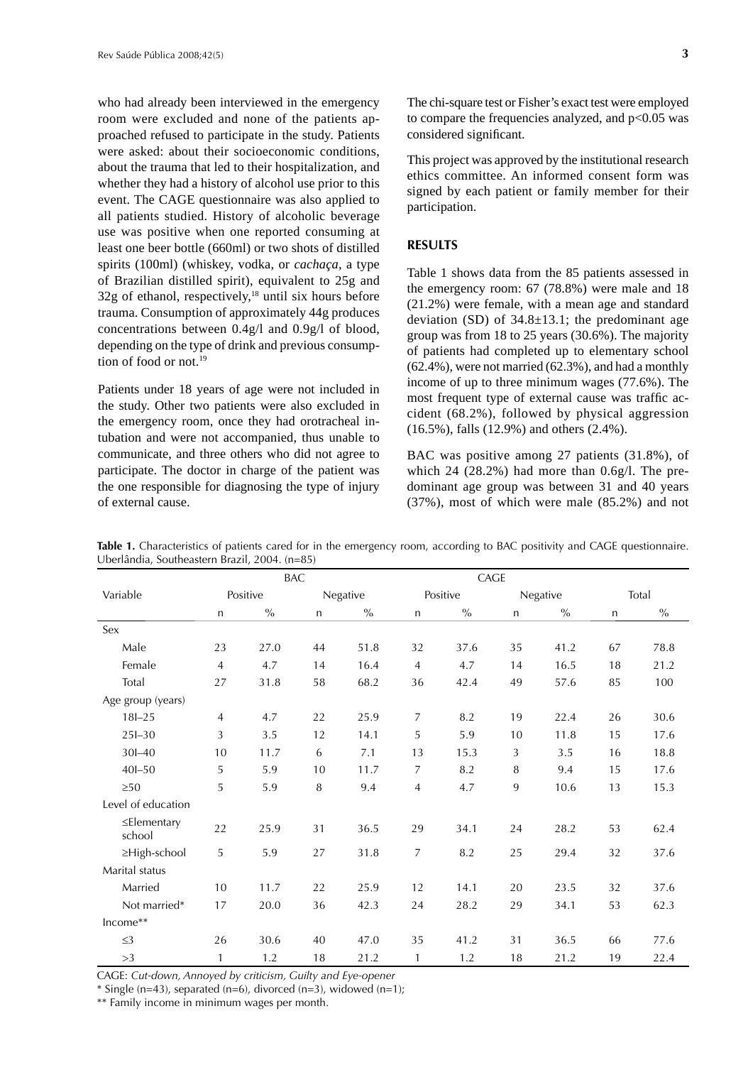who had already been interviewed in the emergency room were excluded and none of the patients approached refused to participate in the study. Patients were asked: about their socioeconomic conditions, about the trauma that led to their hospitalization, and whether they had a history of alcohol use prior to this event. The CAGE questionnaire was also applied to all patients studied. History of alcoholic beverage use was positive when one reported consuming at least one beer bottle (660ml) or two shots of distilled spirits (100ml) (whiskey, vodka, or *cachaça,* a type of Brazilian distilled spirit), equivalent to 25g and  $32g$  of ethanol, respectively,<sup>18</sup> until six hours before trauma. Consumption of approximately 44g produces concentrations between 0.4g/l and 0.9g/l of blood, depending on the type of drink and previous consumption of food or not.19

Patients under 18 years of age were not included in the study. Other two patients were also excluded in the emergency room, once they had orotracheal intubation and were not accompanied, thus unable to communicate, and three others who did not agree to participate. The doctor in charge of the patient was the one responsible for diagnosing the type of injury of external cause.

The chi-square test or Fisher's exact test were employed to compare the frequencies analyzed, and  $p<0.05$  was considered significant.

This project was approved by the institutional research ethics committee. An informed consent form was signed by each patient or family member for their participation.

## **RESULTS**

Table 1 shows data from the 85 patients assessed in the emergency room: 67 (78.8%) were male and 18 (21.2%) were female, with a mean age and standard deviation (SD) of  $34.8 \pm 13.1$ ; the predominant age group was from 18 to 25 years (30.6%). The majority of patients had completed up to elementary school (62.4%), were not married (62.3%), and had a monthly income of up to three minimum wages (77.6%). The most frequent type of external cause was traffic accident (68.2%), followed by physical aggression (16.5%), falls (12.9%) and others (2.4%).

BAC was positive among 27 patients (31.8%), of which 24 (28.2%) had more than 0.6g/l. The predominant age group was between 31 and 40 years (37%), most of which were male (85.2%) and not

|                             | <b>BAC</b>     |               |              |               | CAGE           |               |              |               |              |               |
|-----------------------------|----------------|---------------|--------------|---------------|----------------|---------------|--------------|---------------|--------------|---------------|
| Variable                    | Positive       |               | Negative     |               | Positive       |               | Negative     |               | Total        |               |
|                             | $\mathsf{n}$   | $\frac{0}{0}$ | $\mathsf{n}$ | $\frac{0}{0}$ | $\mathsf{n}$   | $\frac{0}{0}$ | $\mathsf{n}$ | $\frac{0}{0}$ | $\mathsf{n}$ | $\frac{0}{0}$ |
| Sex                         |                |               |              |               |                |               |              |               |              |               |
| Male                        | 23             | 27.0          | 44           | 51.8          | 32             | 37.6          | 35           | 41.2          | 67           | 78.8          |
| Female                      | $\overline{4}$ | 4.7           | 14           | 16.4          | $\overline{4}$ | 4.7           | 14           | 16.5          | 18           | 21.2          |
| Total                       | 27             | 31.8          | 58           | 68.2          | 36             | 42.4          | 49           | 57.6          | 85           | 100           |
| Age group (years)           |                |               |              |               |                |               |              |               |              |               |
| $18 - 25$                   | $\overline{4}$ | 4.7           | 22           | 25.9          | 7              | 8.2           | 19           | 22.4          | 26           | 30.6          |
| $25 - 30$                   | 3              | 3.5           | 12           | 14.1          | 5              | 5.9           | 10           | 11.8          | 15           | 17.6          |
| $30 - 40$                   | 10             | 11.7          | 6            | 7.1           | 13             | 15.3          | 3            | 3.5           | 16           | 18.8          |
| $40I - 50$                  | 5              | 5.9           | 10           | 11.7          | 7              | 8.2           | 8            | 9.4           | 15           | 17.6          |
| $\geq 50$                   | 5              | 5.9           | 8            | 9.4           | 4              | 4.7           | 9            | 10.6          | 13           | 15.3          |
| Level of education          |                |               |              |               |                |               |              |               |              |               |
| $\leq$ Elementary<br>school | 22             | 25.9          | 31           | 36.5          | 29             | 34.1          | 24           | 28.2          | 53           | 62.4          |
| ≥High-school                | 5              | 5.9           | 27           | 31.8          | 7              | 8.2           | 25           | 29.4          | 32           | 37.6          |
| Marital status              |                |               |              |               |                |               |              |               |              |               |
| Married                     | 10             | 11.7          | 22           | 25.9          | 12             | 14.1          | 20           | 23.5          | 32           | 37.6          |
| Not married*                | 17             | 20.0          | 36           | 42.3          | 24             | 28.2          | 29           | 34.1          | 53           | 62.3          |
| Income**                    |                |               |              |               |                |               |              |               |              |               |
| $\leq$ 3                    | 26             | 30.6          | 40           | 47.0          | 35             | 41.2          | 31           | 36.5          | 66           | 77.6          |
| >3                          | 1              | 1.2           | 18           | 21.2          | 1              | 1.2           | 18           | 21.2          | 19           | 22.4          |

**Table 1.** Characteristics of patients cared for in the emergency room, according to BAC positivity and CAGE questionnaire. Uberlândia, Southeastern Brazil, 2004. (n=85)

CAGE: *Cut-down, Annoyed by criticism, Guilty and Eye-opener*

 $*$  Single (n=43), separated (n=6), divorced (n=3), widowed (n=1);

\*\* Family income in minimum wages per month.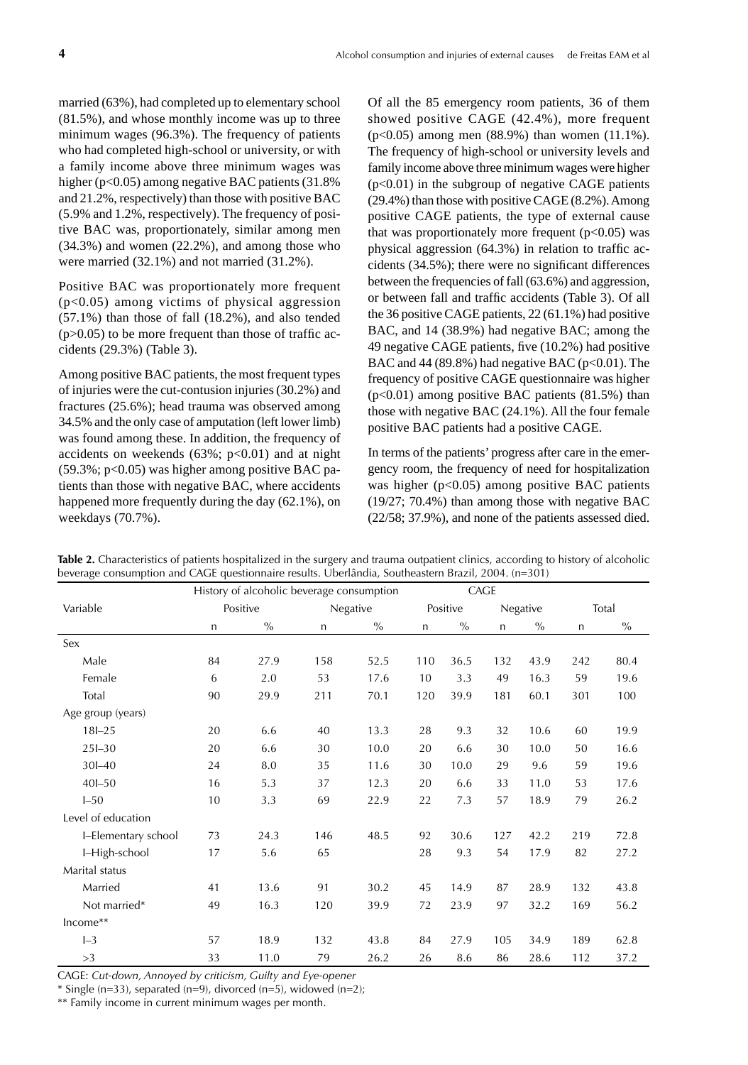married (63%), had completed up to elementary school (81.5%), and whose monthly income was up to three minimum wages (96.3%). The frequency of patients who had completed high-school or university, or with a family income above three minimum wages was higher (p<0.05) among negative BAC patients (31.8%) and 21.2%, respectively) than those with positive BAC (5.9% and 1.2%, respectively). The frequency of positive BAC was, proportionately, similar among men (34.3%) and women (22.2%), and among those who were married (32.1%) and not married (31.2%).

Positive BAC was proportionately more frequent (p<0.05) among victims of physical aggression (57.1%) than those of fall (18.2%), and also tended  $(p>0.05)$  to be more frequent than those of traffic accidents (29.3%) (Table 3).

Among positive BAC patients, the most frequent types of injuries were the cut-contusion injuries (30.2%) and fractures (25.6%); head trauma was observed among 34.5% and the only case of amputation (left lower limb) was found among these. In addition, the frequency of accidents on weekends  $(63\%; p<0.01)$  and at night  $(59.3\%; p<0.05)$  was higher among positive BAC patients than those with negative BAC, where accidents happened more frequently during the day (62.1%), on weekdays (70.7%).

Of all the 85 emergency room patients, 36 of them showed positive CAGE (42.4%), more frequent (p<0.05) among men (88.9%) than women (11.1%). The frequency of high-school or university levels and family income above three minimum wages were higher  $(p<0.01)$  in the subgroup of negative CAGE patients (29.4%) than those with positive CAGE (8.2%). Among positive CAGE patients, the type of external cause that was proportionately more frequent  $(p<0.05)$  was physical aggression  $(64.3%)$  in relation to traffic accidents  $(34.5\%)$ ; there were no significant differences between the frequencies of fall (63.6%) and aggression, or between fall and traffic accidents (Table 3). Of all the 36 positive CAGE patients, 22 (61.1%) had positive BAC, and 14 (38.9%) had negative BAC; among the 49 negative CAGE patients, five (10.2%) had positive BAC and  $44 (89.8%)$  had negative BAC ( $p<0.01$ ). The frequency of positive CAGE questionnaire was higher  $(p<0.01)$  among positive BAC patients  $(81.5%)$  than those with negative BAC (24.1%). All the four female positive BAC patients had a positive CAGE.

In terms of the patients' progress after care in the emergency room, the frequency of need for hospitalization was higher  $(p<0.05)$  among positive BAC patients (19/27; 70.4%) than among those with negative BAC (22/58; 37.9%), and none of the patients assessed died.

|                     | History of alcoholic beverage consumption |      |          |      |              | CAGE |          |      |              |               |
|---------------------|-------------------------------------------|------|----------|------|--------------|------|----------|------|--------------|---------------|
| Variable            | Positive                                  |      | Negative |      | Positive     |      | Negative |      | Total        |               |
|                     | $\mathsf{n}$                              | $\%$ | n        | $\%$ | $\mathsf{n}$ | $\%$ | n        | $\%$ | $\mathsf{n}$ | $\frac{0}{0}$ |
| Sex                 |                                           |      |          |      |              |      |          |      |              |               |
| Male                | 84                                        | 27.9 | 158      | 52.5 | 110          | 36.5 | 132      | 43.9 | 242          | 80.4          |
| Female              | 6                                         | 2.0  | 53       | 17.6 | 10           | 3.3  | 49       | 16.3 | 59           | 19.6          |
| Total               | 90                                        | 29.9 | 211      | 70.1 | 120          | 39.9 | 181      | 60.1 | 301          | 100           |
| Age group (years)   |                                           |      |          |      |              |      |          |      |              |               |
| $18 - 25$           | 20                                        | 6.6  | 40       | 13.3 | 28           | 9.3  | 32       | 10.6 | 60           | 19.9          |
| $25I - 30$          | 20                                        | 6.6  | 30       | 10.0 | 20           | 6.6  | 30       | 10.0 | 50           | 16.6          |
| $30 - 40$           | 24                                        | 8.0  | 35       | 11.6 | 30           | 10.0 | 29       | 9.6  | 59           | 19.6          |
| $40I - 50$          | 16                                        | 5.3  | 37       | 12.3 | 20           | 6.6  | 33       | 11.0 | 53           | 17.6          |
| $I - 50$            | 10                                        | 3.3  | 69       | 22.9 | 22           | 7.3  | 57       | 18.9 | 79           | 26.2          |
| Level of education  |                                           |      |          |      |              |      |          |      |              |               |
| I-Elementary school | 73                                        | 24.3 | 146      | 48.5 | 92           | 30.6 | 127      | 42.2 | 219          | 72.8          |
| I-High-school       | 17                                        | 5.6  | 65       |      | 28           | 9.3  | 54       | 17.9 | 82           | 27.2          |
| Marital status      |                                           |      |          |      |              |      |          |      |              |               |
| Married             | 41                                        | 13.6 | 91       | 30.2 | 45           | 14.9 | 87       | 28.9 | 132          | 43.8          |
| Not married*        | 49                                        | 16.3 | 120      | 39.9 | 72           | 23.9 | 97       | 32.2 | 169          | 56.2          |
| Income**            |                                           |      |          |      |              |      |          |      |              |               |
| $I-3$               | 57                                        | 18.9 | 132      | 43.8 | 84           | 27.9 | 105      | 34.9 | 189          | 62.8          |
| >3                  | 33                                        | 11.0 | 79       | 26.2 | 26           | 8.6  | 86       | 28.6 | 112          | 37.2          |

**Table 2.** Characteristics of patients hospitalized in the surgery and trauma outpatient clinics, according to history of alcoholic beverage consumption and CAGE questionnaire results. Uberlândia, Southeastern Brazil, 2004. (n=301)

CAGE: *Cut-down, Annoyed by criticism, Guilty and Eye-opener* 

 $*$  Single (n=33), separated (n=9), divorced (n=5), widowed (n=2);

\*\* Family income in current minimum wages per month.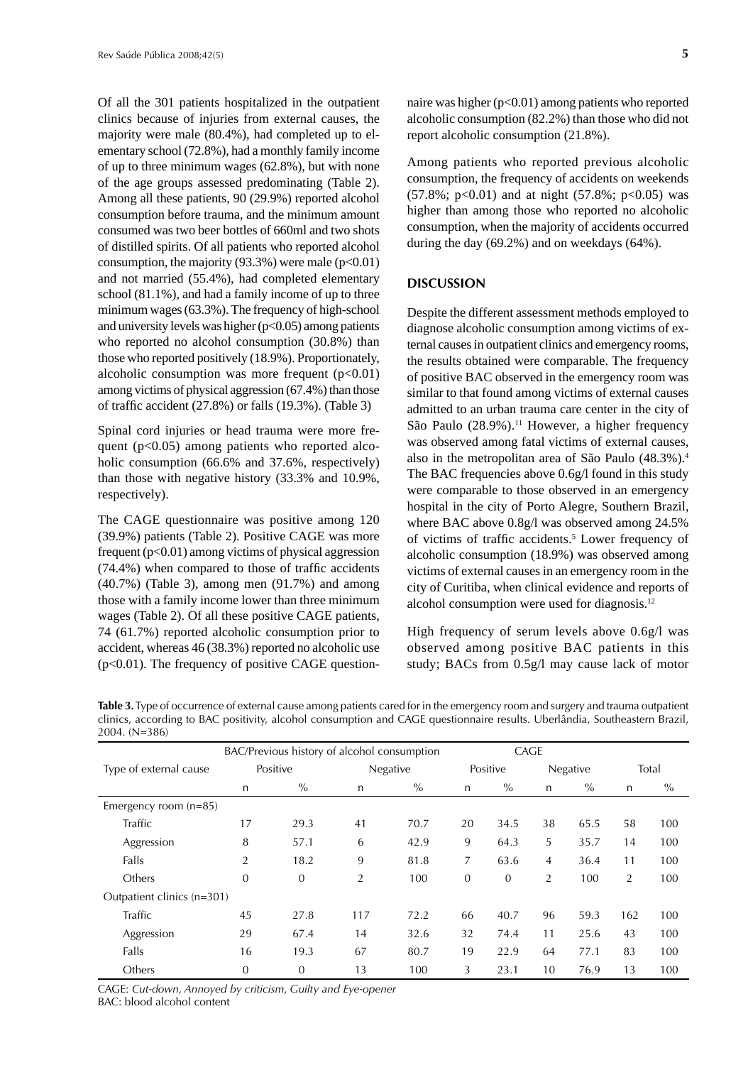Of all the 301 patients hospitalized in the outpatient clinics because of injuries from external causes, the majority were male (80.4%), had completed up to elementary school (72.8%), had a monthly family income of up to three minimum wages (62.8%), but with none of the age groups assessed predominating (Table 2). Among all these patients, 90 (29.9%) reported alcohol consumption before trauma, and the minimum amount consumed was two beer bottles of 660ml and two shots of distilled spirits. Of all patients who reported alcohol consumption, the majority  $(93.3\%)$  were male  $(p<0.01)$ and not married (55.4%), had completed elementary school (81.1%), and had a family income of up to three minimum wages (63.3%). The frequency of high-school and university levels was higher  $(p<0.05)$  among patients who reported no alcohol consumption (30.8%) than those who reported positively (18.9%). Proportionately, alcoholic consumption was more frequent  $(p<0.01)$ among victims of physical aggression (67.4%) than those of traffic accident  $(27.8\%)$  or falls  $(19.3\%)$ . (Table 3)

Spinal cord injuries or head trauma were more frequent ( $p<0.05$ ) among patients who reported alcoholic consumption (66.6% and 37.6%, respectively) than those with negative history (33.3% and 10.9%, respectively).

The CAGE questionnaire was positive among 120 (39.9%) patients (Table 2). Positive CAGE was more frequent  $(p<0.01)$  among victims of physical aggression  $(74.4\%)$  when compared to those of traffic accidents (40.7%) (Table 3), among men (91.7%) and among those with a family income lower than three minimum wages (Table 2). Of all these positive CAGE patients, 74 (61.7%) reported alcoholic consumption prior to accident, whereas 46 (38.3%) reported no alcoholic use  $(p<0.01)$ . The frequency of positive CAGE questionnaire was higher  $(p<0.01)$  among patients who reported alcoholic consumption (82.2%) than those who did not report alcoholic consumption (21.8%).

Among patients who reported previous alcoholic consumption, the frequency of accidents on weekends  $(57.8\%; p<0.01)$  and at night  $(57.8\%; p<0.05)$  was higher than among those who reported no alcoholic consumption, when the majority of accidents occurred during the day (69.2%) and on weekdays (64%).

#### **DISCUSSION**

Despite the different assessment methods employed to diagnose alcoholic consumption among victims of external causes in outpatient clinics and emergency rooms, the results obtained were comparable. The frequency of positive BAC observed in the emergency room was similar to that found among victims of external causes admitted to an urban trauma care center in the city of São Paulo  $(28.9\%)$ .<sup>11</sup> However, a higher frequency was observed among fatal victims of external causes, also in the metropolitan area of São Paulo (48.3%).4 The BAC frequencies above 0.6g/l found in this study were comparable to those observed in an emergency hospital in the city of Porto Alegre, Southern Brazil, where BAC above 0.8g/l was observed among 24.5% of victims of traffic accidents.<sup>5</sup> Lower frequency of alcoholic consumption (18.9%) was observed among victims of external causes in an emergency room in the city of Curitiba, when clinical evidence and reports of alcohol consumption were used for diagnosis.12

High frequency of serum levels above 0.6g/l was observed among positive BAC patients in this study; BACs from 0.5g/l may cause lack of motor

|                            | BAC/Previous history of alcohol consumption |                |                |          |          | CAGE     |                |          |                |               |  |
|----------------------------|---------------------------------------------|----------------|----------------|----------|----------|----------|----------------|----------|----------------|---------------|--|
| Type of external cause     | Positive                                    |                |                | Negative |          | Positive |                | Negative |                | Total         |  |
|                            | n                                           | $\%$           | $\mathsf{n}$   | $\%$     | n        | $\%$     | $\mathsf{n}$   | $\%$     | n              | $\frac{0}{0}$ |  |
| Emergency room $(n=85)$    |                                             |                |                |          |          |          |                |          |                |               |  |
| Traffic                    | 17                                          | 29.3           | 41             | 70.7     | 20       | 34.5     | 38             | 65.5     | 58             | 100           |  |
| Aggression                 | 8                                           | 57.1           | 6              | 42.9     | 9        | 64.3     | 5              | 35.7     | 14             | 100           |  |
| Falls                      | 2                                           | 18.2           | 9              | 81.8     | 7        | 63.6     | $\overline{4}$ | 36.4     | 11             | 100           |  |
| Others                     | $\overline{0}$                              | $\overline{0}$ | $\overline{2}$ | 100      | $\theta$ | $\theta$ | $\overline{2}$ | 100      | $\overline{2}$ | 100           |  |
| Outpatient clinics (n=301) |                                             |                |                |          |          |          |                |          |                |               |  |
| Traffic                    | 45                                          | 27.8           | 117            | 72.2     | 66       | 40.7     | 96             | 59.3     | 162            | 100           |  |
| Aggression                 | 29                                          | 67.4           | 14             | 32.6     | 32       | 74.4     | 11             | 25.6     | 43             | 100           |  |
| Falls                      | 16                                          | 19.3           | 67             | 80.7     | 19       | 22.9     | 64             | 77.1     | 83             | 100           |  |
| Others                     | $\mathbf{0}$                                | $\overline{0}$ | 13             | 100      | 3        | 23.1     | 10             | 76.9     | 13             | 100           |  |

**Table 3.** Type of occurrence of external cause among patients cared for in the emergency room and surgery and trauma outpatient clinics, according to BAC positivity, alcohol consumption and CAGE questionnaire results. Uberlândia, Southeastern Brazil, 2004. (N=386)

CAGE: *Cut-down, Annoyed by criticism, Guilty and Eye-opener*  BAC: blood alcohol content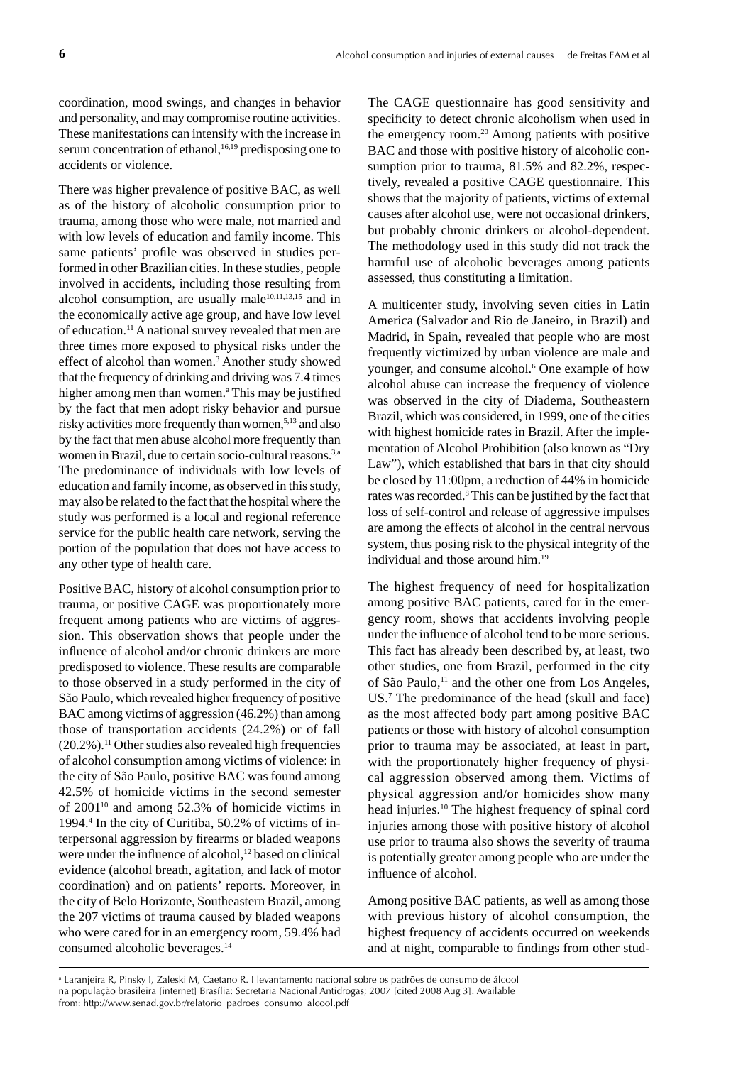coordination, mood swings, and changes in behavior and personality, and may compromise routine activities. These manifestations can intensify with the increase in serum concentration of ethanol,<sup>16,19</sup> predisposing one to accidents or violence.

There was higher prevalence of positive BAC, as well as of the history of alcoholic consumption prior to trauma, among those who were male, not married and with low levels of education and family income. This same patients' profile was observed in studies performed in other Brazilian cities. In these studies, people involved in accidents, including those resulting from alcohol consumption, are usually male $10,11,13,15$  and in the economically active age group, and have low level of education.11 A national survey revealed that men are three times more exposed to physical risks under the effect of alcohol than women.3 Another study showed that the frequency of drinking and driving was 7.4 times higher among men than women.<sup>a</sup> This may be justified by the fact that men adopt risky behavior and pursue risky activities more frequently than women,<sup>5,13</sup> and also by the fact that men abuse alcohol more frequently than women in Brazil, due to certain socio-cultural reasons.<sup>3,a</sup> The predominance of individuals with low levels of education and family income, as observed in this study, may also be related to the fact that the hospital where the study was performed is a local and regional reference service for the public health care network, serving the portion of the population that does not have access to any other type of health care.

Positive BAC, history of alcohol consumption prior to trauma, or positive CAGE was proportionately more frequent among patients who are victims of aggression. This observation shows that people under the influence of alcohol and/or chronic drinkers are more predisposed to violence. These results are comparable to those observed in a study performed in the city of São Paulo, which revealed higher frequency of positive BAC among victims of aggression (46.2%) than among those of transportation accidents (24.2%) or of fall  $(20.2\%)$ .<sup>11</sup> Other studies also revealed high frequencies of alcohol consumption among victims of violence: in the city of São Paulo, positive BAC was found among 42.5% of homicide victims in the second semester of 200110 and among 52.3% of homicide victims in 1994.4 In the city of Curitiba, 50.2% of victims of interpersonal aggression by firearms or bladed weapons were under the influence of alcohol,<sup>12</sup> based on clinical evidence (alcohol breath, agitation, and lack of motor coordination) and on patients' reports. Moreover, in the city of Belo Horizonte, Southeastern Brazil, among the 207 victims of trauma caused by bladed weapons who were cared for in an emergency room, 59.4% had consumed alcoholic beverages.14

The CAGE questionnaire has good sensitivity and specificity to detect chronic alcoholism when used in the emergency room.<sup>20</sup> Among patients with positive BAC and those with positive history of alcoholic consumption prior to trauma, 81.5% and 82.2%, respectively, revealed a positive CAGE questionnaire. This shows that the majority of patients, victims of external causes after alcohol use, were not occasional drinkers, but probably chronic drinkers or alcohol-dependent. The methodology used in this study did not track the harmful use of alcoholic beverages among patients assessed, thus constituting a limitation.

A multicenter study, involving seven cities in Latin America (Salvador and Rio de Janeiro, in Brazil) and Madrid, in Spain, revealed that people who are most frequently victimized by urban violence are male and younger, and consume alcohol.<sup>6</sup> One example of how alcohol abuse can increase the frequency of violence was observed in the city of Diadema, Southeastern Brazil, which was considered, in 1999, one of the cities with highest homicide rates in Brazil. After the implementation of Alcohol Prohibition (also known as "Dry Law"), which established that bars in that city should be closed by 11:00pm, a reduction of 44% in homicide rates was recorded.<sup>8</sup> This can be justified by the fact that loss of self-control and release of aggressive impulses are among the effects of alcohol in the central nervous system, thus posing risk to the physical integrity of the individual and those around him.19

The highest frequency of need for hospitalization among positive BAC patients, cared for in the emergency room, shows that accidents involving people under the influence of alcohol tend to be more serious. This fact has already been described by, at least, two other studies, one from Brazil, performed in the city of São Paulo,<sup>11</sup> and the other one from Los Angeles, US.7 The predominance of the head (skull and face) as the most affected body part among positive BAC patients or those with history of alcohol consumption prior to trauma may be associated, at least in part, with the proportionately higher frequency of physical aggression observed among them. Victims of physical aggression and/or homicides show many head injuries.10 The highest frequency of spinal cord injuries among those with positive history of alcohol use prior to trauma also shows the severity of trauma is potentially greater among people who are under the influence of alcohol.

Among positive BAC patients, as well as among those with previous history of alcohol consumption, the highest frequency of accidents occurred on weekends and at night, comparable to findings from other stud-

a Laranjeira R, Pinsky I, Zaleski M, Caetano R. I levantamento nacional sobre os padrões de consumo de álcool na população brasileira [internet] Brasília: Secretaria Nacional Antidrogas; 2007 [cited 2008 Aug 3]. Available from: http://www.senad.gov.br/relatorio\_padroes\_consumo\_alcool.pdf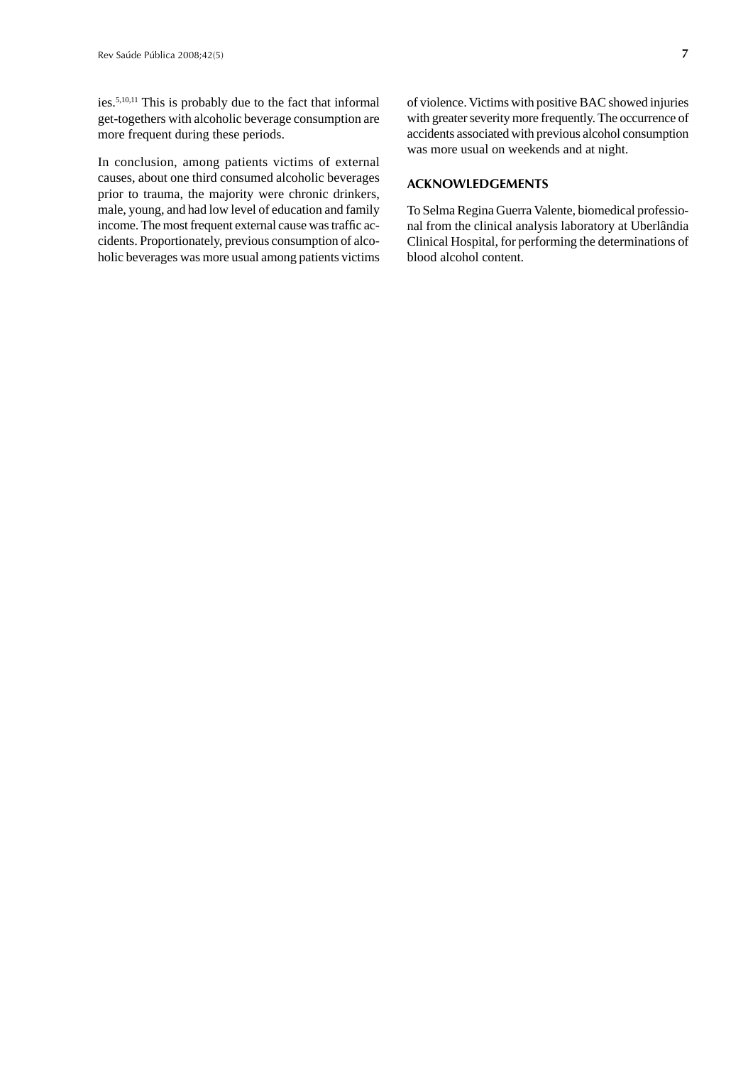ies.5,10,11 This is probably due to the fact that informal get-togethers with alcoholic beverage consumption are more frequent during these periods.

In conclusion, among patients victims of external causes, about one third consumed alcoholic beverages prior to trauma, the majority were chronic drinkers, male, young, and had low level of education and family income. The most frequent external cause was traffic accidents. Proportionately, previous consumption of alcoholic beverages was more usual among patients victims of violence. Victims with positive BAC showed injuries with greater severity more frequently. The occurrence of accidents associated with previous alcohol consumption was more usual on weekends and at night.

## **ACKNOWLEDGEMENTS**

To Selma Regina Guerra Valente, biomedical professional from the clinical analysis laboratory at Uberlândia Clinical Hospital, for performing the determinations of blood alcohol content.